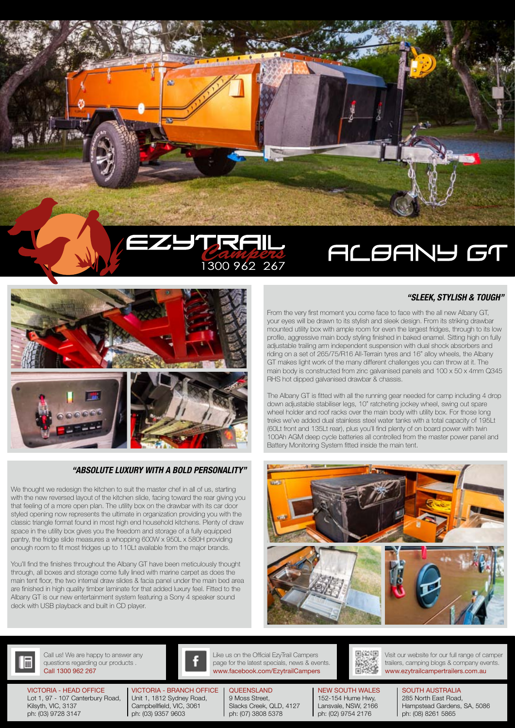



## *"ABSOLUTE LUXURY WITH A BOLD PERSONALITY"*

We thought we redesign the kitchen to suit the master chef in all of us, starting with the new reversed layout of the kitchen slide, facing toward the rear giving you that feeling of a more open plan. The utility box on the drawbar with its car door styled opening now represents the ultimate in organization providing you with the classic triangle format found in most high end household kitchens. Plenty of draw space in the utility box gives you the freedom and storage of a fully equipped pantry, the fridge slide measures a whopping 600W x 950L x 580H providing enough room to fit most fridges up to 110Lt available from the major brands.

You'll find the finishes throughout the Albany GT have been meticulously thought through, all boxes and storage come fully lined with marine carpet as does the main tent floor, the two internal draw slides & facia panel under the main bed area are finished in high quality timber laminate for that added luxury feel. Fitted to the Albany GT is our new entertainment system featuring a Sony 4 speaker sound deck with USB playback and built in CD player.

*"SLEEK, STYLISH & TOUGH"*

From the very first moment you come face to face with the all new Albany GT, your eyes will be drawn to its stylish and sleek design. From its striking drawbar mounted utility box with ample room for even the largest fridges, through to its low profile, aggressive main body styling finished in baked enamel. Sitting high on fully adjustable trailing arm independent suspension with dual shock absorbers and riding on a set of 265/75/R16 All-Terrain tyres and 16" alloy wheels, the Albany GT makes light work of the many different challenges you can throw at it. The main body is constructed from zinc galvanised panels and 100 x 50 x 4mm Q345

The Albany GT is fitted with all the running gear needed for camp including 4 drop down adjustable stabiliser legs, 10" ratcheting jockey wheel, swing out spare wheel holder and roof racks over the main body with utility box. For those long treks we've added dual stainless steel water tanks with a total capacity of 195Lt (60Lt front and 135Lt rear), plus you'll find plenty of on board power with twin 100Ah AGM deep cycle batteries all controlled from the master power panel and Battery Monitoring System fitted inside the main tent.

RHS hot dipped galvanised drawbar & chassis.





Call 1300 962 267 Call us! We are happy to answer any questions regarding our products .

VICTORIA - HEAD OFFICE Lot 1, 97 - 107 Canterbury Road, Kilsyth, VIC, 3137 ph: (03) 9728 3147

VICTORIA - BRANCH OFFICE Unit 1, 1812 Sydney Road, Campbellfield, VIC, 3061 ph: (03) 9357 9603

Like us on the Official EzyTrail Campers page for the latest specials, news & events. www.facebook.com/EzytrailCampers www.ezytrailcampertrailers.com.au

**QUEENSLAND** 9 Moss Street, Slacks Creek, QLD, 4127 ph: (07) 3808 5378

NEW SOUTH WALES

152-154 Hume Hwy, Lansvale, NSW, 2166 ph: (02) 9754 2176

Visit our website for our full range of camper trailers, camping blogs & company events.

> SOUTH AUSTRALIA 285 North East Road, Hampstead Gardens, SA, 5086 ph: (08) 8261 5865